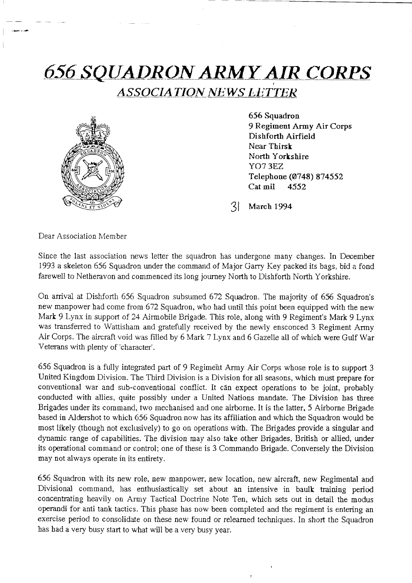# 656-SQUADRON ARMY AIR CORPS ASSOCIATION NEWS LETTER



656 Squadron 9 Regiment Army Air Corps Dishforth Airfield Near Thirsk North Yorkshire YO7 3EZ Telephone (0748) 874552 Cat mil <sup>4552</sup>

3l March <sup>1994</sup>

Dear Association Member

Since the last association news letter the squadron has undergone many changes. In December 1993 a skeleton 656 Squadron under the command of Major Garry Key packed its bags, bid a fond farewell to Netheravon and commenced its long journey North to Dishforth North Yorkshire.

On arrival at Dishforth 656 Squadron subsumed 672 Squadron. The majority of 656 Squadron's new manpower had come from 672 Squadron, who had until this point been equipped with the new Mark 9 Lynx in support of 24 Airmobile Brigade. This role, along with 9 Regiment's Mark 9 Lynx was transferred to Wattisham and gratefully received by the newly ensconced 3 Regiment Army Air Corps. The aircraft void was filled by 6 Mark 7 Lynx and 6 Gazelle all of which were Gulf War Veterans with plenfy of 'character'.

656 Squadron is a fully integrated part of 9 Regiment Army Air Corps whose role is to support <sup>3</sup> United Kingdom Division. The Third Division is a Division for all seasons, which must prepare for conventional war and sub-conventional conflict. It can expect operations to be joint, probably conducted with allies, quite possibly under a United Nations mandate. The Division has three Brigades under its command, two mechanised and one airborne. It is the latter, 5 Airborne Brigade based in Aldershot to which 656 Squadron now has its affiliation and which the Squadron would be most likely (though not exclusively) to go on operations with. The Brigades provide a singular and dynamic range of capabilities. The division may also take other Brigades, British or allied, under its operational command or control; one of these is 3 Commando Brigade. Conversely the Division may not always operate in its entirety.

656 Squadron with its new role, new manpower, new location, new aircraft, new Regimental and Divisional command, has enthusiastically set about an intensive in baulk training period concentrating heavily on Army Tactical Doctrine Note Ten, which sets out in detail the modus opemndi for anti tank tactics. This phase has now been completed and the regiment is entering an exercise period to consolidate on these new found or relearned techniques. In short the Squadron has had a very busy start to whaf will be a very busy year.

 $\pmb{\tau}$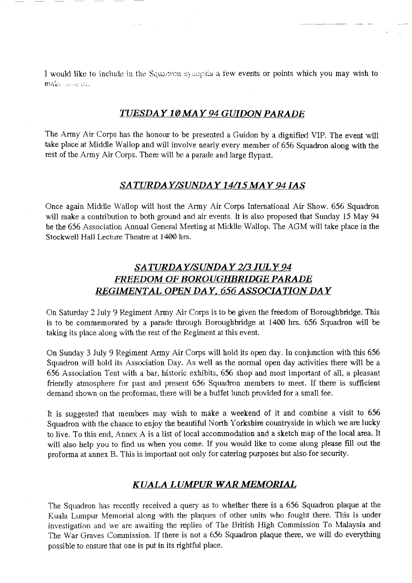I would like to include in the Squadron synopsis a few events or points which you may wish to make accept.

 $\mathcal{L}^{\text{max}}$ 

#### TUESDAY 10 MAY 94 GUIDON PARADE

The Army Air Corps has the honour to be presented a Guidon by a dignified VIP. The event will take place at Middle Wallop and will involve nearly every member of 656 Squadron along with the rest of the Army Air Corps. There will be a parade and large flypast.

### SATURDAY/SUNDAY 14/15 MAY 94 IAS

Once again Midclle Wallop will host the Army Air Corps International Air Show. 656 Squadron will make a contribution to both ground and air events. It is also proposed that Sunday 15 May 94 be the 656 Association Annual General Meeting at Middle Wallop. The AGM will take place in the Stockwell Hall Lecture Theatre at 1400 hrs.

## SATURDAY/SUNDAY 2/3 JULY 94 FREEDOM OF BOROUGHBRIDGE PARADE REGIMENTAL OPEN DAY, 656 ASSOCIATION DAY

On Saturday 2 July 9 Regiment Army Air Corps is to be given the freedom of Boroughbridge, This is to be commemorated by a paracle through Boroughbridge at 1400 hrs. 656 Squadron will be taking its piace along wilh the rest of the Regiment at this event.

On Sunday 3 July 9 Regiment Army Air Corps will hold its open day. In conjunction with this 656 Squadron will hold its Association Day. As well as the normal open day activities there will be a 656 Association Tent with a bar, historic exhibits, 656 shop and most important of all, a pleasant friendly atmosphere for past and present 656 Squadron members to meet. If there is sufficient demand shown on the proformas, there wili be a buffet lunch provided for a smal1 fee.

It is suggested that members may wish to make a weekend of it and combine a visit to 656 Squadron with the chance to enjoy the beautiful North Yorkshire countryside in which we are lucky to live, To this end, Annex A is a list of local accommodation and a sketch map of the local area. It will also help you to find us when you come. If you would like to come along please filI out the proforma at annex B. This is important not only for catering purposes but also for security.

#### KUALA LUMPUR WAR MEMORIAL

The Squadron has recently received a query as to whether there is a 656 Squadron plaque at the Kuala Lumpur Memorial along with the plaques of other units who fought there. This is under investigation and we are awaiting the replies of The British High Commission To Malaysia and The War Graves Commission. If there is not a 656 Squadron plaque there, we will do everything possible to ensure that one is put in its rightful place.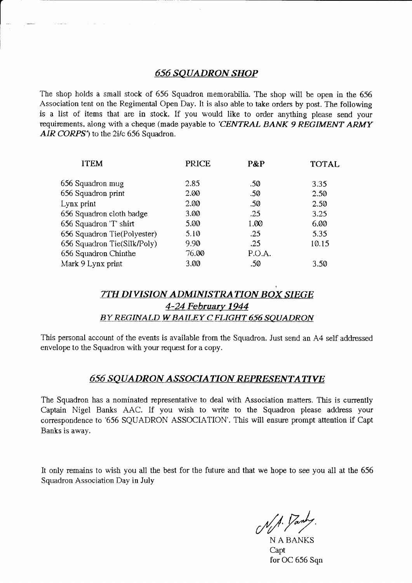#### 656 SQUADRON SHOP

 $\parallel$ 

The shop holds a small stock of 656 Squadron memorabilia. The shop will be open in the 656 Association tent on the Regimental Open Day. It is also able to take orders by post. The following is a list of items that are in stock. If you would like to order anything please send your requirements, along with a cheque (made payable to 'CENTRAL BANK 9 REGIMENT ARMY AIR CORPS') to the 2i/c 656 Squadron.

| <b>ITEM</b>                 | <b>PRICE</b> | P&P    | <b>TOTAL</b> |
|-----------------------------|--------------|--------|--------------|
| 656 Squadron mug            | 2.85         | .50    | 3.35         |
| 656 Squadron print          | 2.00         | .50    | 2.50         |
| Lynx print                  | 2.00         | .50    | 2.50         |
| 656 Squadron cloth badge    | 3.00         | .25    | 3.25         |
| 656 Squadron 'T' shirt      | 5.00         | 1.00   | 6.00         |
| 656 Squadron Tie(Polyester) | 5.10         | .25    | 5.35         |
| 656 Squadron Tie(Silk/Poly) | 9.90         | .25    | 10.15        |
| 656 Squadron Chinthe        | 76.00        | P.O.A. |              |
| Mark 9 Lynx print           | 3.00         | .50    | 3.50         |

#### 7TH DIWSION ADMINISTRATION BOX SIEGE 4-24 February 1944 BY REGINALD W BAILEY C FLIGHT 656 SQUADRON

This personal account of the events is available from the Squadron. Just send an A4 self addressed envelope to the Squadron with your request for a copy.

#### **656 SQUADRON ASSOCIATION REPRESENTATIVE**

The Squadron has a nominated representative to deal with Association matters. This is currently Captain Nigel Banks AAC. If you wish to write to the Squadron please address your correspondence to '656 SQUADRON ASSOCIATION'. This will ensure prompt attention if Capt Bants is away.

It only remains to wish you all the best for the future and that we hope to see you all at the 656 Squadron Association Day in July

N/A. Panty

Capt for OC 656 Sqn